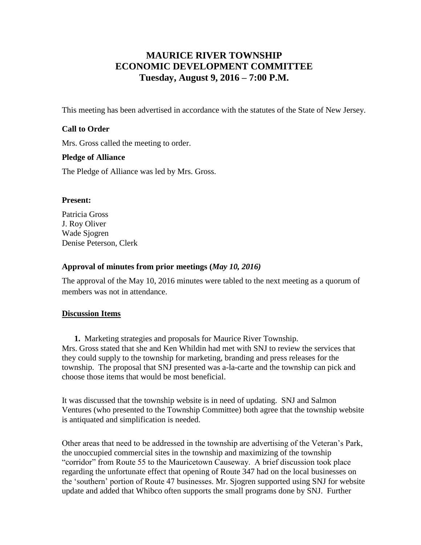# **MAURICE RIVER TOWNSHIP ECONOMIC DEVELOPMENT COMMITTEE Tuesday, August 9, 2016 – 7:00 P.M.**

This meeting has been advertised in accordance with the statutes of the State of New Jersey.

## **Call to Order**

Mrs. Gross called the meeting to order.

#### **Pledge of Alliance**

The Pledge of Alliance was led by Mrs. Gross.

## **Present:**

Patricia Gross J. Roy Oliver Wade Sjogren Denise Peterson, Clerk

## **Approval of minutes from prior meetings (***May 10, 2016)*

The approval of the May 10, 2016 minutes were tabled to the next meeting as a quorum of members was not in attendance.

#### **Discussion Items**

 **1.** Marketing strategies and proposals for Maurice River Township. Mrs. Gross stated that she and Ken Whildin had met with SNJ to review the services that they could supply to the township for marketing, branding and press releases for the township. The proposal that SNJ presented was a-la-carte and the township can pick and choose those items that would be most beneficial.

It was discussed that the township website is in need of updating. SNJ and Salmon Ventures (who presented to the Township Committee) both agree that the township website is antiquated and simplification is needed.

Other areas that need to be addressed in the township are advertising of the Veteran's Park, the unoccupied commercial sites in the township and maximizing of the township "corridor" from Route 55 to the Mauricetown Causeway. A brief discussion took place regarding the unfortunate effect that opening of Route 347 had on the local businesses on the 'southern' portion of Route 47 businesses. Mr. Sjogren supported using SNJ for website update and added that Whibco often supports the small programs done by SNJ. Further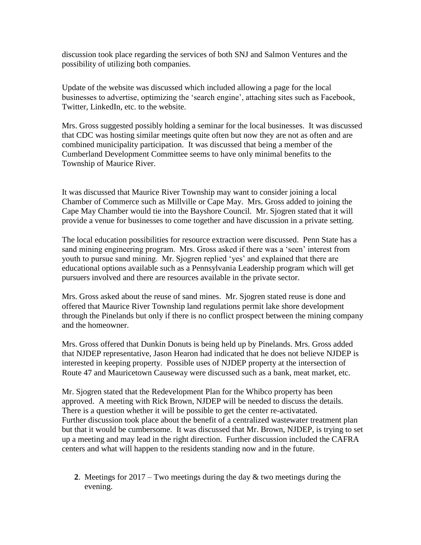discussion took place regarding the services of both SNJ and Salmon Ventures and the possibility of utilizing both companies.

Update of the website was discussed which included allowing a page for the local businesses to advertise, optimizing the 'search engine', attaching sites such as Facebook, Twitter, LinkedIn, etc. to the website.

Mrs. Gross suggested possibly holding a seminar for the local businesses. It was discussed that CDC was hosting similar meetings quite often but now they are not as often and are combined municipality participation. It was discussed that being a member of the Cumberland Development Committee seems to have only minimal benefits to the Township of Maurice River.

It was discussed that Maurice River Township may want to consider joining a local Chamber of Commerce such as Millville or Cape May. Mrs. Gross added to joining the Cape May Chamber would tie into the Bayshore Council. Mr. Sjogren stated that it will provide a venue for businesses to come together and have discussion in a private setting.

The local education possibilities for resource extraction were discussed. Penn State has a sand mining engineering program. Mrs. Gross asked if there was a 'seen' interest from youth to pursue sand mining. Mr. Sjogren replied 'yes' and explained that there are educational options available such as a Pennsylvania Leadership program which will get pursuers involved and there are resources available in the private sector.

Mrs. Gross asked about the reuse of sand mines. Mr. Sjogren stated reuse is done and offered that Maurice River Township land regulations permit lake shore development through the Pinelands but only if there is no conflict prospect between the mining company and the homeowner.

Mrs. Gross offered that Dunkin Donuts is being held up by Pinelands. Mrs. Gross added that NJDEP representative, Jason Hearon had indicated that he does not believe NJDEP is interested in keeping property. Possible uses of NJDEP property at the intersection of Route 47 and Mauricetown Causeway were discussed such as a bank, meat market, etc.

Mr. Sjogren stated that the Redevelopment Plan for the Whibco property has been approved. A meeting with Rick Brown, NJDEP will be needed to discuss the details. There is a question whether it will be possible to get the center re-activatated. Further discussion took place about the benefit of a centralized wastewater treatment plan but that it would be cumbersome. It was discussed that Mr. Brown, NJDEP, is trying to set up a meeting and may lead in the right direction. Further discussion included the CAFRA centers and what will happen to the residents standing now and in the future.

 **2**. Meetings for 2017 – Two meetings during the day & two meetings during the evening.